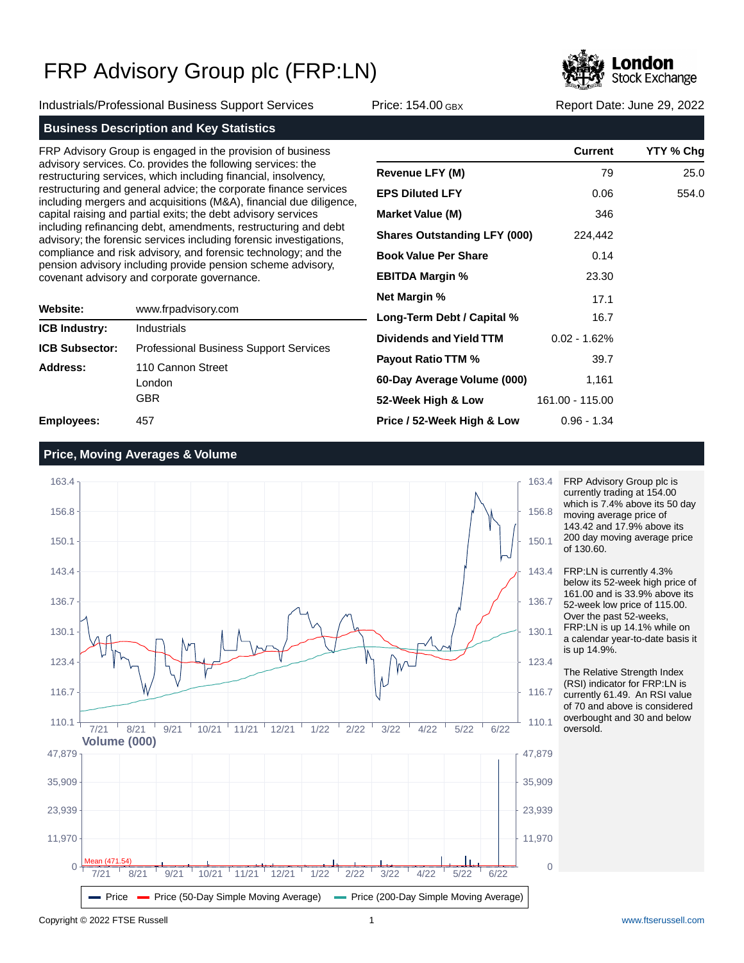

Industrials/Professional Business Support Services Price: 154.00 GBX Report Date: June 29, 2022

### **Business Description and Key Statistics**

FRP Advisory Group is engaged in the provision of business advisory services. Co. provides the following services: the restructuring services, which including financial, insolvency, restructuring and general advice; the corporate finance services including mergers and acquisitions (M&A), financial due diligence, capital raising and partial exits; the debt advisory services including refinancing debt, amendments, restructuring and debt advisory; the forensic services including forensic investigations, compliance and risk advisory, and forensic technology; and the pension advisory including provide pension scheme advisory, covenant advisory and corporate governance.

| Website:              | www.frpadvisory.com                           |  |  |  |
|-----------------------|-----------------------------------------------|--|--|--|
| <b>ICB Industry:</b>  | Industrials                                   |  |  |  |
| <b>ICB Subsector:</b> | <b>Professional Business Support Services</b> |  |  |  |
| Address:              | 110 Cannon Street<br>London<br>GBR            |  |  |  |
| Employees:            | 457                                           |  |  |  |

|                                     | <b>Current</b>  | YTY % Chg |
|-------------------------------------|-----------------|-----------|
| <b>Revenue LFY (M)</b>              | 79              | 25.0      |
| <b>EPS Diluted LFY</b>              | 0.06            | 554.0     |
| <b>Market Value (M)</b>             | 346             |           |
| <b>Shares Outstanding LFY (000)</b> | 224,442         |           |
| <b>Book Value Per Share</b>         | 0.14            |           |
| <b>EBITDA Margin %</b>              | 23.30           |           |
| <b>Net Margin %</b>                 | 17.1            |           |
| Long-Term Debt / Capital %          | 16.7            |           |
| Dividends and Yield TTM             | $0.02 - 1.62%$  |           |
| <b>Payout Ratio TTM %</b>           | 39.7            |           |
| 60-Day Average Volume (000)         | 1,161           |           |
| 52-Week High & Low                  | 161.00 - 115.00 |           |
| Price / 52-Week High & Low          | $0.96 - 1.34$   |           |

### **Price, Moving Averages & Volume**



FRP Advisory Group plc is currently trading at 154.00 which is 7.4% above its 50 day moving average price of 143.42 and 17.9% above its 200 day moving average price of 130.60.

FRP:LN is currently 4.3% below its 52-week high price of 161.00 and is 33.9% above its 52-week low price of 115.00. Over the past 52-weeks, FRP:LN is up 14.1% while on a calendar year-to-date basis it is up 14.9%.

The Relative Strength Index (RSI) indicator for FRP:LN is currently 61.49. An RSI value of 70 and above is considered overbought and 30 and below oversold.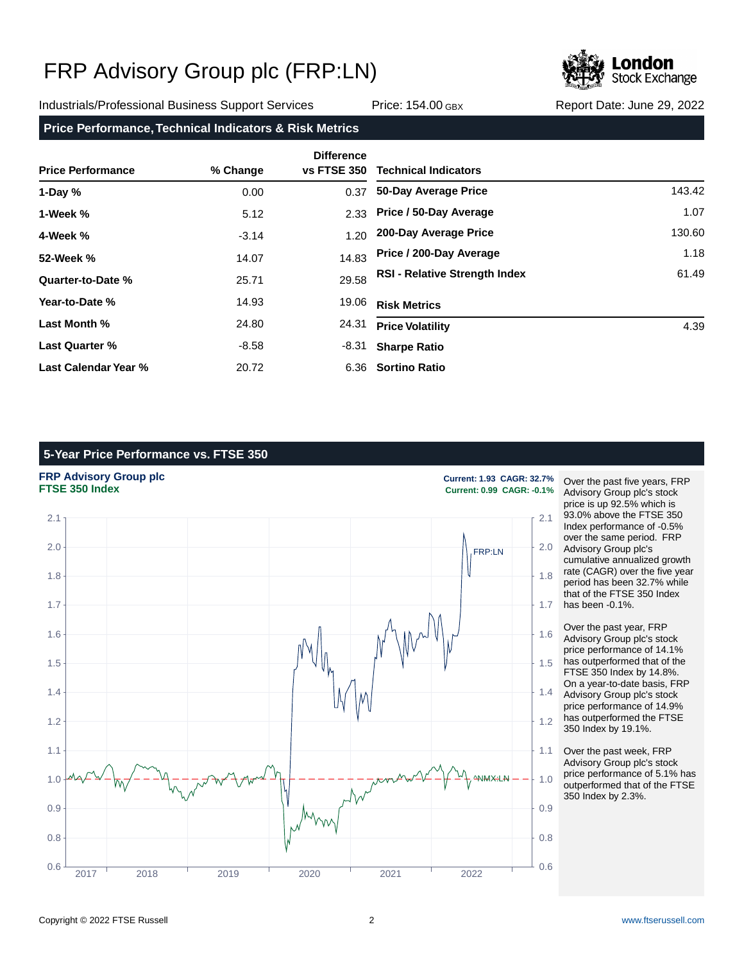

Industrials/Professional Business Support Services Price: 154.00 GBX Report Date: June 29, 2022

### **Price Performance, Technical Indicators & Risk Metrics**

| <b>Price Performance</b> | % Change | <b>Difference</b><br><b>vs FTSE 350</b> | <b>Technical Indicators</b>          |        |
|--------------------------|----------|-----------------------------------------|--------------------------------------|--------|
| 1-Day $%$                | 0.00     | 0.37                                    | 50-Day Average Price                 | 143.42 |
| 1-Week %                 | 5.12     | 2.33                                    | Price / 50-Day Average               | 1.07   |
| 4-Week %                 | $-3.14$  | 1.20                                    | 200-Day Average Price                | 130.60 |
| 52-Week %                | 14.07    | 14.83                                   | Price / 200-Day Average              | 1.18   |
| Quarter-to-Date %        | 25.71    | 29.58                                   | <b>RSI - Relative Strength Index</b> | 61.49  |
| Year-to-Date %           | 14.93    | 19.06                                   | <b>Risk Metrics</b>                  |        |
| Last Month %             | 24.80    | 24.31                                   | <b>Price Volatility</b>              | 4.39   |
| Last Quarter %           | $-8.58$  | -8.31                                   | <b>Sharpe Ratio</b>                  |        |
| Last Calendar Year %     | 20.72    |                                         | 6.36 Sortino Ratio                   |        |

### **5-Year Price Performance vs. FTSE 350**

## **FRP Advisory Group plc**<br> **FTSE 350 Index**<br> **Current: 0.99 CAGR: -0.1%**<br>
Current: 0.99 CAGR: -0.1%



**FTSE 350 Index Current: 0.99 CAGR: -0.1%**

Over the past five years, FRP Advisory Group plc's stock price is up 92.5% which is 93.0% above the FTSE 350 Index performance of -0.5% over the same period. FRP Advisory Group plc's cumulative annualized growth rate (CAGR) over the five year period has been 32.7% while that of the FTSE 350 Index has been -0.1%.

Over the past year, FRP Advisory Group plc's stock price performance of 14.1% has outperformed that of the FTSE 350 Index by 14.8%. On a year-to-date basis, FRP Advisory Group plc's stock price performance of 14.9% has outperformed the FTSE 350 Index by 19.1%.

Over the past week, FRP Advisory Group plc's stock price performance of 5.1% has outperformed that of the FTSE 350 Index by 2.3%.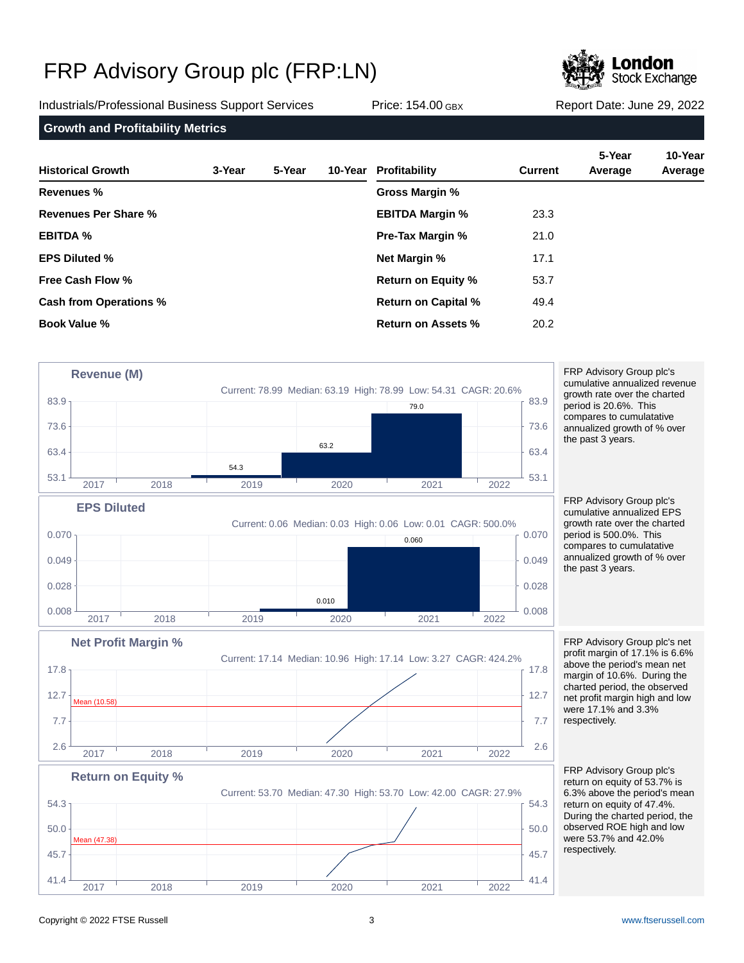

Industrials/Professional Business Support Services Price: 154.00 GBX Report Date: June 29, 2022

**Growth and Profitability Metrics**

| <b>Historical Growth</b>      | 3-Year | 5-Year | 10-Year Profitability      | <b>Current</b> | 5-Year<br>Average | 10-Year<br>Average |
|-------------------------------|--------|--------|----------------------------|----------------|-------------------|--------------------|
| Revenues %                    |        |        | Gross Margin %             |                |                   |                    |
| <b>Revenues Per Share %</b>   |        |        | <b>EBITDA Margin %</b>     | 23.3           |                   |                    |
| <b>EBITDA %</b>               |        |        | <b>Pre-Tax Margin %</b>    | 21.0           |                   |                    |
| <b>EPS Diluted %</b>          |        |        | <b>Net Margin %</b>        | 17.1           |                   |                    |
| Free Cash Flow %              |        |        | <b>Return on Equity %</b>  | 53.7           |                   |                    |
| <b>Cash from Operations %</b> |        |        | <b>Return on Capital %</b> | 49.4           |                   |                    |
| <b>Book Value %</b>           |        |        | Return on Assets %         | 20.2           |                   |                    |



Copyright © 2022 FTSE Russell 3 [www.ftserussell.com](http://www.ftserussell.com)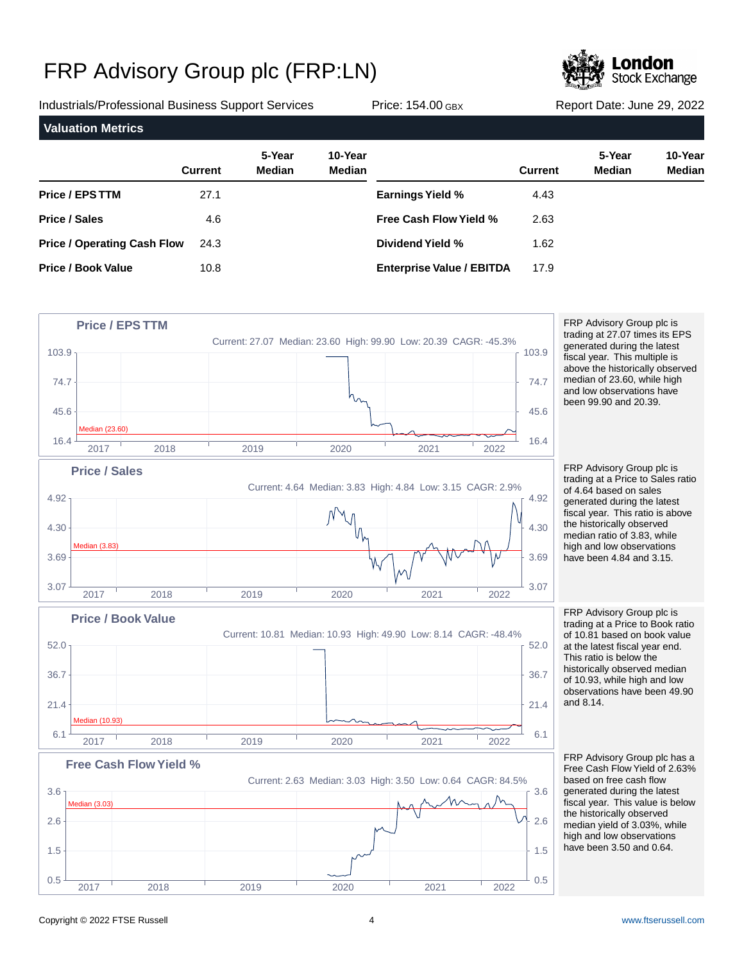

Industrials/Professional Business Support Services Price: 154.00 GBX Report Date: June 29, 2022

| <b>Valuation Metrics</b>           |                |                         |                          |                                  |                |                         |                   |
|------------------------------------|----------------|-------------------------|--------------------------|----------------------------------|----------------|-------------------------|-------------------|
|                                    | <b>Current</b> | 5-Year<br><b>Median</b> | 10-Year<br><b>Median</b> |                                  | <b>Current</b> | 5-Year<br><b>Median</b> | 10-Year<br>Median |
| Price / EPS TTM                    | 27.1           |                         |                          | <b>Earnings Yield %</b>          | 4.43           |                         |                   |
| <b>Price / Sales</b>               | 4.6            |                         |                          | <b>Free Cash Flow Yield %</b>    | 2.63           |                         |                   |
| <b>Price / Operating Cash Flow</b> | 24.3           |                         |                          | Dividend Yield %                 | 1.62           |                         |                   |
| <b>Price / Book Value</b>          | 10.8           |                         |                          | <b>Enterprise Value / EBITDA</b> | 17.9           |                         |                   |



FRP Advisory Group plc is trading at 27.07 times its EPS generated during the latest fiscal year. This multiple is above the historically observed median of 23.60, while high and low observations have been 99.90 and 20.39.

FRP Advisory Group plc is trading at a Price to Sales ratio of 4.64 based on sales generated during the latest fiscal year. This ratio is above the historically observed median ratio of 3.83, while high and low observations have been 4.84 and 3.15.

FRP Advisory Group plc is trading at a Price to Book ratio of 10.81 based on book value at the latest fiscal year end. This ratio is below the historically observed median of 10.93, while high and low observations have been 49.90 and 8.14.

FRP Advisory Group plc has a Free Cash Flow Yield of 2.63% based on free cash flow generated during the latest fiscal year. This value is below the historically observed median yield of 3.03%, while high and low observations have been 3.50 and 0.64.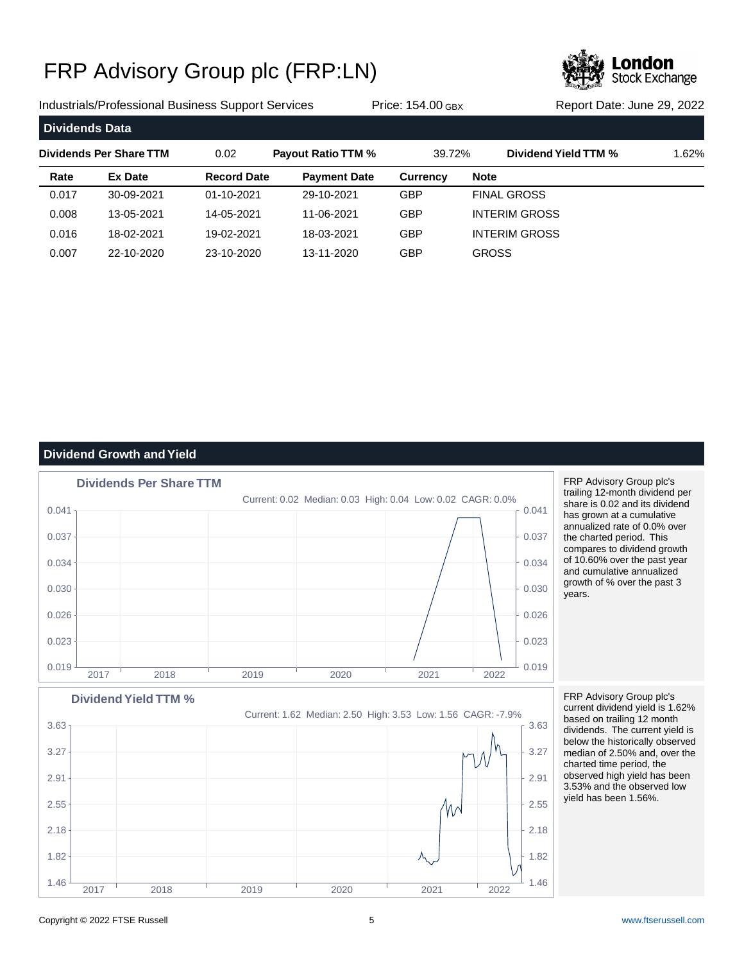

Industrials/Professional Business Support Services Price: 154.00 GBX Report Date: June 29, 2022

| <b>Dividends Data</b> |                         |                    |                           |                 |             |                      |       |
|-----------------------|-------------------------|--------------------|---------------------------|-----------------|-------------|----------------------|-------|
|                       | Dividends Per Share TTM | 0.02               | <b>Payout Ratio TTM %</b> | 39.72%          |             | Dividend Yield TTM % | 1.62% |
| Rate                  | <b>Ex Date</b>          | <b>Record Date</b> | <b>Payment Date</b>       | <b>Currency</b> | <b>Note</b> |                      |       |
| 0.017                 | 30-09-2021              | 01-10-2021         | 29-10-2021                | <b>GBP</b>      |             | <b>FINAL GROSS</b>   |       |
| 0.008                 | 13-05-2021              | 14-05-2021         | 11-06-2021                | <b>GBP</b>      |             | <b>INTERIM GROSS</b> |       |
| 0.016                 | 18-02-2021              | 19-02-2021         | 18-03-2021                | <b>GBP</b>      |             | <b>INTERIM GROSS</b> |       |
| 0.007                 | 22-10-2020              | 23-10-2020         | 13-11-2020                | GBP             |             | <b>GROSS</b>         |       |

### **Dividend Growth and Yield**



FRP Advisory Group plc's trailing 12-month dividend per share is 0.02 and its dividend has grown at a cumulative annualized rate of 0.0% over the charted period. This compares to dividend growth of 10.60% over the past year and cumulative annualized growth of % over the past 3 years.

Current: 1.62 Median: 2.50 High: 3.53 Low: 1.56 CAGR: -7.9% **Dividend Yield TTM %**  $1.46 \frac{1}{1.46 \frac{1}{1.46 \frac{1}{1.46 \frac{1}{1.46 \frac{1}{1.46 \frac{1}{1.46 \frac{1}{1.46 \frac{1}{1.46 \frac{1}{1.46 \frac{1}{1.46 \frac{1}{1.46 \frac{1}{1.46 \frac{1}{1.46 \frac{1}{1.46 \frac{1}{1.46 \frac{1}{1.46 \frac{1}{1.46 \frac{1}{1.46 \frac{1}{1.46 \frac{1}{1.46 \frac{1}{1.46 \frac{1}{1.46 \frac{1}{1.46 \frac{1}{1.46$ 1.82 |  $\lambda$  | 1.82 | 1.82 | 1.82 | 1.82 | 1.82 | 1.82 | 1.82 | 1.82 | 1.82 | 1.82 | 1.82 | 1.82 | 1.82 | 1.82 | 1.82 | 1.82 | 1.82 | 1.82 | 1.82 | 1.82 | 1.82 | 1.82 | 1.82 | 1.82 | 1.82 | 1.82 | 1.82 | 1.82 | 1.82 | 1.82 2.18  $\pm$  2.18 2.55  $\sim$  2.55 2.91  $\uparrow$  2.91  $3.27 + 3.27$  $3.63$  and  $1$  and  $1$  and  $1$  and  $1$  and  $1$  and  $1$  and  $1$  and  $1$  and  $1$  and  $1$  and  $1$  and  $1$  and  $1$  and  $1$  and  $1$  and  $1$  and  $1$  and  $1$  and  $1$  and  $1$  and  $1$  and  $1$  and  $1$  and  $1$  and  $1$  and  $1$  and  $1$ 2017 2018 2019 2020 2021 2022

FRP Advisory Group plc's current dividend yield is 1.62% based on trailing 12 month dividends. The current yield is below the historically observed median of 2.50% and, over the charted time period, the observed high yield has been 3.53% and the observed low yield has been 1.56%.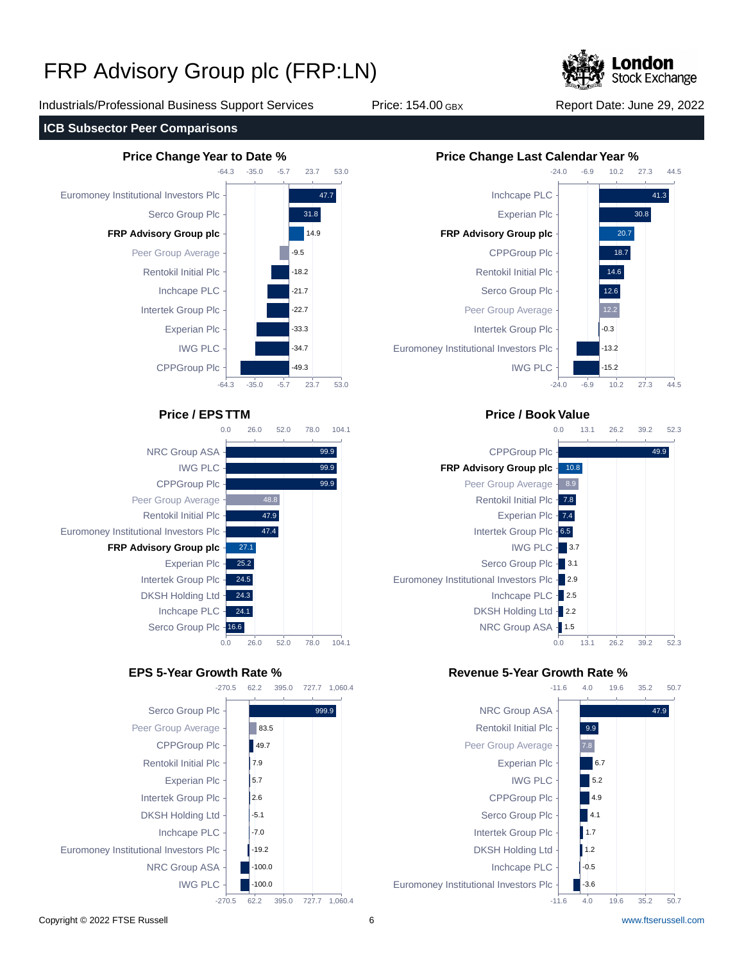

Industrials/Professional Business Support Services Price: 154.00 GBX Report Date: June 29, 2022

**ICB Subsector Peer Comparisons**









## **Price / EPS TTM Price / Book Value**



## **EPS 5-Year Growth Rate % Revenue 5-Year Growth Rate %**



Copyright © 2022 FTSE Russell 6 [www.ftserussell.com](http://www.ftserussell.com)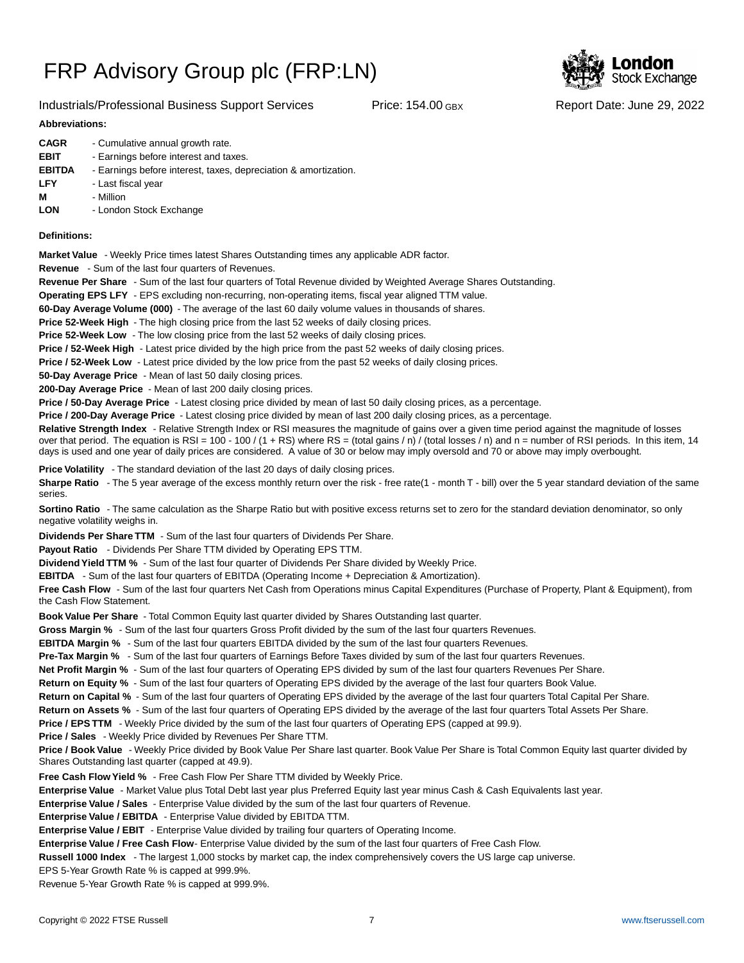### Industrials/Professional Business Support Services Price: 154.00 GBX Report Date: June 29, 2022

# **Stock Exchange**

### **Abbreviations:**

| <b>CAGR</b>   | - Cumulative annual growth rate.                                |
|---------------|-----------------------------------------------------------------|
| <b>EBIT</b>   | - Earnings before interest and taxes.                           |
| <b>EBITDA</b> | - Earnings before interest, taxes, depreciation & amortization. |
| <b>LFY</b>    | - Last fiscal year                                              |
| М             | - Million                                                       |
| <b>LON</b>    | - London Stock Exchange                                         |
|               |                                                                 |

### **Definitions:**

**Market Value** - Weekly Price times latest Shares Outstanding times any applicable ADR factor.

**Revenue** - Sum of the last four quarters of Revenues.

**Revenue Per Share** - Sum of the last four quarters of Total Revenue divided by Weighted Average Shares Outstanding.

**Operating EPS LFY** - EPS excluding non-recurring, non-operating items, fiscal year aligned TTM value.

60-Day Average Volume (000) - The average of the last 60 daily volume values in thousands of shares.

**Price 52-Week High** - The high closing price from the last 52 weeks of daily closing prices.

**Price 52-Week Low** - The low closing price from the last 52 weeks of daily closing prices.

**Price / 52-Week High** - Latest price divided by the high price from the past 52 weeks of daily closing prices.

**Price / 52-Week Low** - Latest price divided by the low price from the past 52 weeks of daily closing prices.

**50-Day Average Price** - Mean of last 50 daily closing prices.

**200-Day Average Price** - Mean of last 200 daily closing prices.

Price / 50-Day Average Price - Latest closing price divided by mean of last 50 daily closing prices, as a percentage.

**Price / 200-Day Average Price** - Latest closing price divided by mean of last 200 daily closing prices, as a percentage.

Relative Strength Index - Relative Strength Index or RSI measures the magnitude of gains over a given time period against the magnitude of losses over that period. The equation is RSI = 100 - 100 / (1 + RS) where RS = (total gains / n) / (total losses / n) and n = number of RSI periods. In this item, 14 days is used and one year of daily prices are considered. A value of 30 or below may imply oversold and 70 or above may imply overbought.

**Price Volatility** - The standard deviation of the last 20 days of daily closing prices.

Sharpe Ratio - The 5 year average of the excess monthly return over the risk - free rate(1 - month T - bill) over the 5 year standard deviation of the same series.

**Sortino Ratio** - The same calculation as the Sharpe Ratio but with positive excess returns set to zero for the standard deviation denominator, so only negative volatility weighs in.

**Dividends Per Share TTM** - Sum of the last four quarters of Dividends Per Share.

Payout Ratio - Dividends Per Share TTM divided by Operating EPS TTM.

**Dividend Yield TTM %** - Sum of the last four quarter of Dividends Per Share divided by Weekly Price.

**EBITDA** - Sum of the last four quarters of EBITDA (Operating Income + Depreciation & Amortization).

**Free Cash Flow** - Sum of the last four quarters Net Cash from Operations minus Capital Expenditures (Purchase of Property, Plant & Equipment), from the Cash Flow Statement.

**Book Value Per Share** - Total Common Equity last quarter divided by Shares Outstanding last quarter.

**Gross Margin %** - Sum of the last four quarters Gross Profit divided by the sum of the last four quarters Revenues.

**EBITDA Margin %** - Sum of the last four quarters EBITDA divided by the sum of the last four quarters Revenues.

**Pre-Tax Margin %** - Sum of the last four quarters of Earnings Before Taxes divided by sum of the last four quarters Revenues.

**Net Profit Margin %** - Sum of the last four quarters of Operating EPS divided by sum of the last four quarters Revenues Per Share.

**Return on Equity %** - Sum of the last four quarters of Operating EPS divided by the average of the last four quarters Book Value.

**Return on Capital %** - Sum of the last four quarters of Operating EPS divided by the average of the last four quarters Total Capital Per Share.

**Return on Assets %** - Sum of the last four quarters of Operating EPS divided by the average of the last four quarters Total Assets Per Share.

**Price / EPS TTM** - Weekly Price divided by the sum of the last four quarters of Operating EPS (capped at 99.9).

**Price / Sales** - Weekly Price divided by Revenues Per Share TTM.

**Price / Book Value** - Weekly Price divided by Book Value Per Share last quarter. Book Value Per Share is Total Common Equity last quarter divided by Shares Outstanding last quarter (capped at 49.9).

**Free Cash Flow Yield %** - Free Cash Flow Per Share TTM divided by Weekly Price.

Enterprise Value - Market Value plus Total Debt last year plus Preferred Equity last year minus Cash & Cash Equivalents last year.

**Enterprise Value / Sales** - Enterprise Value divided by the sum of the last four quarters of Revenue.

**Enterprise Value / EBITDA** - Enterprise Value divided by EBITDA TTM.

**Enterprise Value / EBIT** - Enterprise Value divided by trailing four quarters of Operating Income.

Enterprise Value / Free Cash Flow- Enterprise Value divided by the sum of the last four quarters of Free Cash Flow.

**Russell 1000 Index** - The largest 1,000 stocks by market cap, the index comprehensively covers the US large cap universe.

EPS 5-Year Growth Rate % is capped at 999.9%.

Revenue 5-Year Growth Rate % is capped at 999.9%.